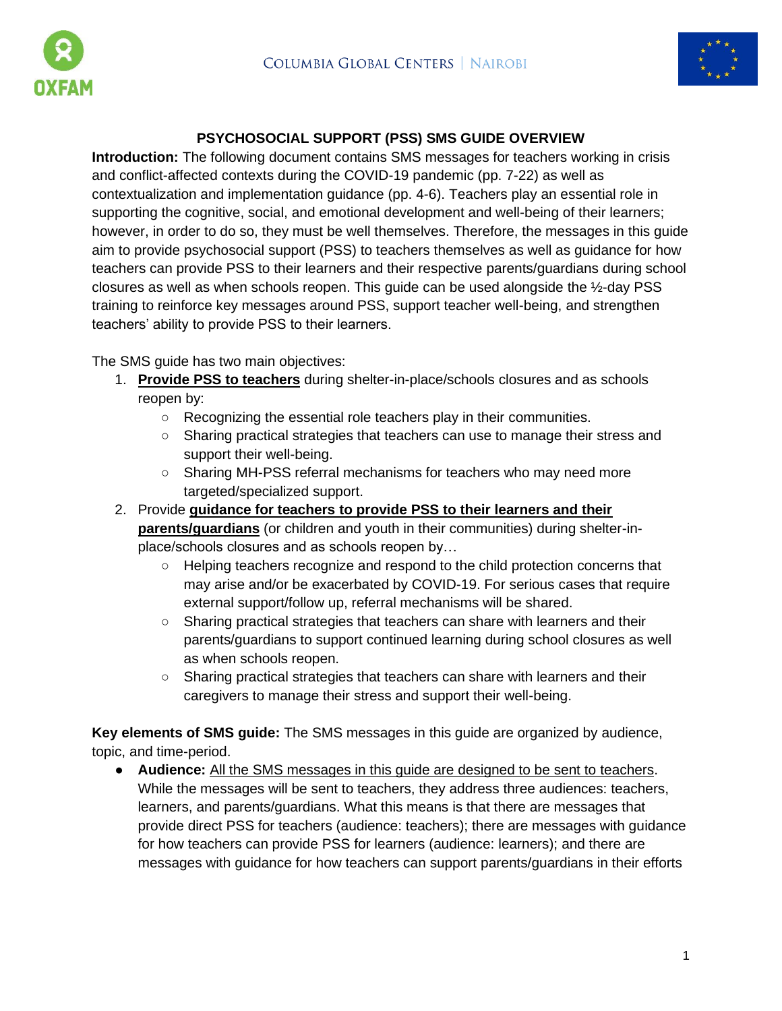



### **PSYCHOSOCIAL SUPPORT (PSS) SMS GUIDE OVERVIEW**

**Introduction:** The following document contains SMS messages for teachers working in crisis and conflict-affected contexts during the COVID-19 pandemic (pp. 7-22) as well as contextualization and implementation guidance (pp. 4-6). Teachers play an essential role in supporting the cognitive, social, and emotional development and well-being of their learners; however, in order to do so, they must be well themselves. Therefore, the messages in this guide aim to provide psychosocial support (PSS) to teachers themselves as well as guidance for how teachers can provide PSS to their learners and their respective parents/guardians during school closures as well as when schools reopen. This guide can be used alongside the ½-day PSS training to reinforce key messages around PSS, support teacher well-being, and strengthen teachers' ability to provide PSS to their learners.

The SMS guide has two main objectives:

- 1. **Provide PSS to teachers** during shelter-in-place/schools closures and as schools reopen by:
	- Recognizing the essential role teachers play in their communities.
	- Sharing practical strategies that teachers can use to manage their stress and support their well-being.
	- Sharing MH-PSS referral mechanisms for teachers who may need more targeted/specialized support.
- 2. Provide **guidance for teachers to provide PSS to their learners and their parents/guardians** (or children and youth in their communities) during shelter-inplace/schools closures and as schools reopen by…
	- Helping teachers recognize and respond to the child protection concerns that may arise and/or be exacerbated by COVID-19. For serious cases that require external support/follow up, referral mechanisms will be shared.
	- Sharing practical strategies that teachers can share with learners and their parents/guardians to support continued learning during school closures as well as when schools reopen.
	- Sharing practical strategies that teachers can share with learners and their caregivers to manage their stress and support their well-being.

**Key elements of SMS guide:** The SMS messages in this guide are organized by audience, topic, and time-period.

● **Audience:** All the SMS messages in this guide are designed to be sent to teachers. While the messages will be sent to teachers, they address three audiences: teachers, learners, and parents/guardians. What this means is that there are messages that provide direct PSS for teachers (audience: teachers); there are messages with guidance for how teachers can provide PSS for learners (audience: learners); and there are messages with guidance for how teachers can support parents/guardians in their efforts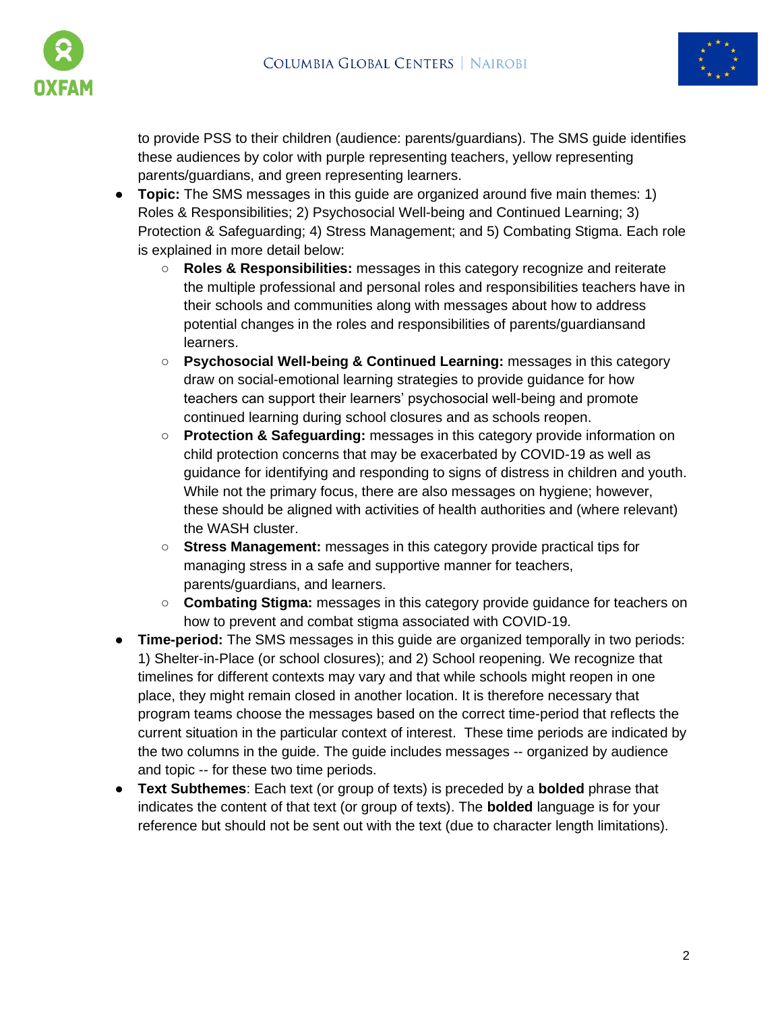



to provide PSS to their children (audience: parents/guardians). The SMS guide identifies these audiences by color with purple representing teachers, yellow representing parents/guardians, and green representing learners.

- **Topic:** The SMS messages in this guide are organized around five main themes: 1) Roles & Responsibilities; 2) Psychosocial Well-being and Continued Learning; 3) Protection & Safeguarding; 4) Stress Management; and 5) Combating Stigma. Each role is explained in more detail below:
	- **Roles & Responsibilities:** messages in this category recognize and reiterate the multiple professional and personal roles and responsibilities teachers have in their schools and communities along with messages about how to address potential changes in the roles and responsibilities of parents/guardiansand learners.
	- **Psychosocial Well-being & Continued Learning:** messages in this category draw on social-emotional learning strategies to provide guidance for how teachers can support their learners' psychosocial well-being and promote continued learning during school closures and as schools reopen.
	- **Protection & Safeguarding:** messages in this category provide information on child protection concerns that may be exacerbated by COVID-19 as well as guidance for identifying and responding to signs of distress in children and youth. While not the primary focus, there are also messages on hygiene; however, these should be aligned with activities of health authorities and (where relevant) the WASH cluster.
	- **Stress Management:** messages in this category provide practical tips for managing stress in a safe and supportive manner for teachers, parents/guardians, and learners.
	- **Combating Stigma:** messages in this category provide guidance for teachers on how to prevent and combat stigma associated with COVID-19.
- **Time-period:** The SMS messages in this guide are organized temporally in two periods: 1) Shelter-in-Place (or school closures); and 2) School reopening. We recognize that timelines for different contexts may vary and that while schools might reopen in one place, they might remain closed in another location. It is therefore necessary that program teams choose the messages based on the correct time-period that reflects the current situation in the particular context of interest. These time periods are indicated by the two columns in the guide. The guide includes messages -- organized by audience and topic -- for these two time periods.
- **Text Subthemes**: Each text (or group of texts) is preceded by a **bolded** phrase that indicates the content of that text (or group of texts). The **bolded** language is for your reference but should not be sent out with the text (due to character length limitations).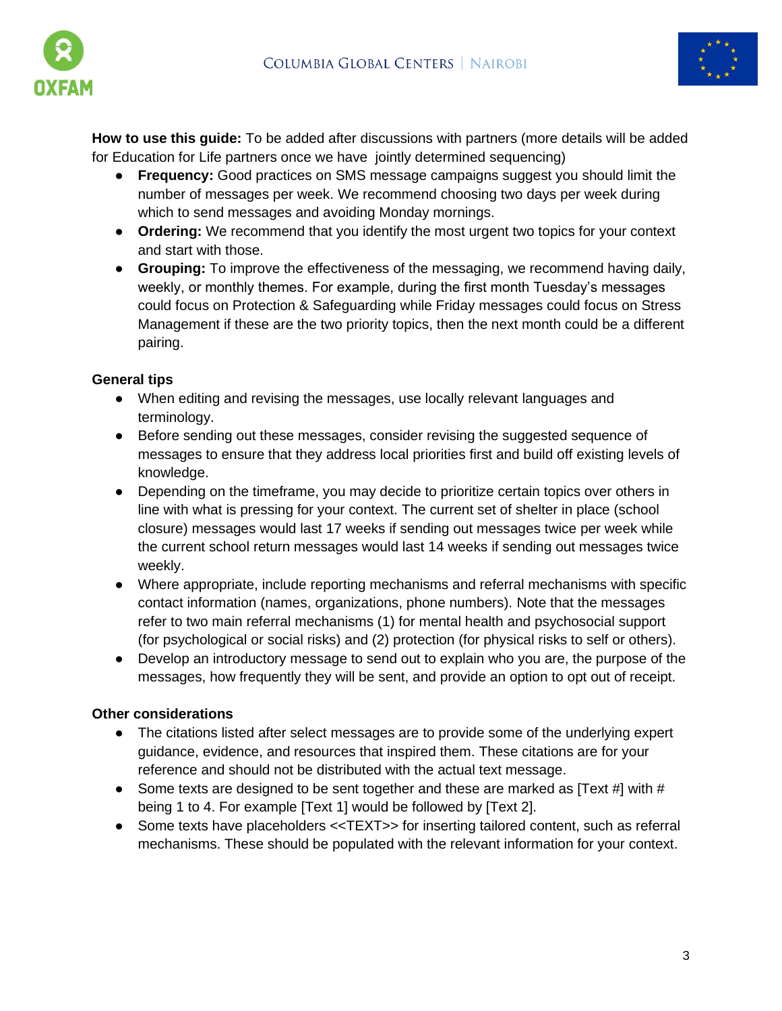



**How to use this guide:** To be added after discussions with partners (more details will be added for Education for Life partners once we have jointly determined sequencing)

- **Frequency:** Good practices on SMS message campaigns suggest you should limit the number of messages per week. We recommend choosing two days per week during which to send messages and avoiding Monday mornings.
- **Ordering:** We recommend that you identify the most urgent two topics for your context and start with those.
- **Grouping:** To improve the effectiveness of the messaging, we recommend having daily, weekly, or monthly themes. For example, during the first month Tuesday's messages could focus on Protection & Safeguarding while Friday messages could focus on Stress Management if these are the two priority topics, then the next month could be a different pairing.

#### **General tips**

- When editing and revising the messages, use locally relevant languages and terminology.
- Before sending out these messages, consider revising the suggested sequence of messages to ensure that they address local priorities first and build off existing levels of knowledge.
- Depending on the timeframe, you may decide to prioritize certain topics over others in line with what is pressing for your context. The current set of shelter in place (school closure) messages would last 17 weeks if sending out messages twice per week while the current school return messages would last 14 weeks if sending out messages twice weekly.
- Where appropriate, include reporting mechanisms and referral mechanisms with specific contact information (names, organizations, phone numbers). Note that the messages refer to two main referral mechanisms (1) for mental health and psychosocial support (for psychological or social risks) and (2) protection (for physical risks to self or others).
- Develop an introductory message to send out to explain who you are, the purpose of the messages, how frequently they will be sent, and provide an option to opt out of receipt.

### **Other considerations**

- The citations listed after select messages are to provide some of the underlying expert guidance, evidence, and resources that inspired them. These citations are for your reference and should not be distributed with the actual text message.
- Some texts are designed to be sent together and these are marked as  $[Text #]$  with  $#$ being 1 to 4. For example [Text 1] would be followed by [Text 2].
- Some texts have placeholders <<TEXT>> for inserting tailored content, such as referral mechanisms. These should be populated with the relevant information for your context.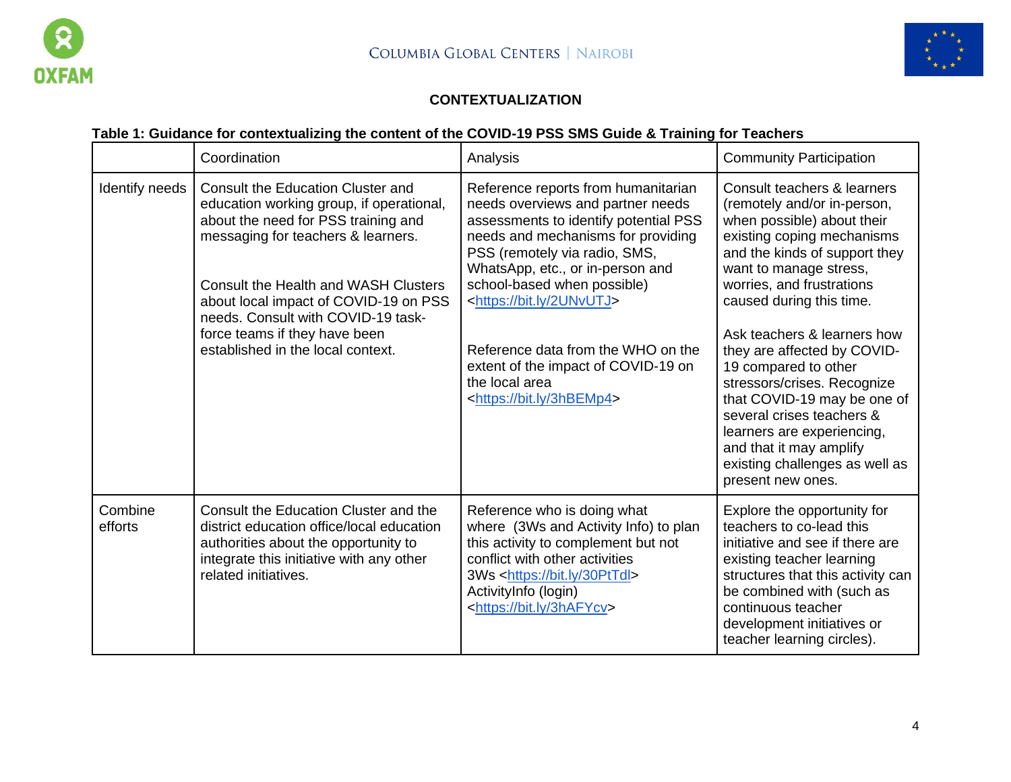



## **CONTEXTUALIZATION**

# **Table 1: Guidance for contextualizing the content of the COVID-19 PSS SMS Guide & Training for Teachers**

|                    | Coordination                                                                                                                                                                                                                                                                                                                                                   | Analysis                                                                                                                                                                                                                                                                                                                                                                                                                                           | <b>Community Participation</b>                                                                                                                                                                                                                                                                                                                                                                                                                                                                                                              |
|--------------------|----------------------------------------------------------------------------------------------------------------------------------------------------------------------------------------------------------------------------------------------------------------------------------------------------------------------------------------------------------------|----------------------------------------------------------------------------------------------------------------------------------------------------------------------------------------------------------------------------------------------------------------------------------------------------------------------------------------------------------------------------------------------------------------------------------------------------|---------------------------------------------------------------------------------------------------------------------------------------------------------------------------------------------------------------------------------------------------------------------------------------------------------------------------------------------------------------------------------------------------------------------------------------------------------------------------------------------------------------------------------------------|
| Identify needs     | Consult the Education Cluster and<br>education working group, if operational,<br>about the need for PSS training and<br>messaging for teachers & learners.<br><b>Consult the Health and WASH Clusters</b><br>about local impact of COVID-19 on PSS<br>needs. Consult with COVID-19 task-<br>force teams if they have been<br>established in the local context. | Reference reports from humanitarian<br>needs overviews and partner needs<br>assessments to identify potential PSS<br>needs and mechanisms for providing<br>PSS (remotely via radio, SMS,<br>WhatsApp, etc., or in-person and<br>school-based when possible)<br><https: 2unvutj="" bit.ly=""><br/>Reference data from the WHO on the<br/>extent of the impact of COVID-19 on<br/>the local area<br/><https: 3hbemp4="" bit.ly=""></https:></https:> | Consult teachers & learners<br>(remotely and/or in-person,<br>when possible) about their<br>existing coping mechanisms<br>and the kinds of support they<br>want to manage stress,<br>worries, and frustrations<br>caused during this time.<br>Ask teachers & learners how<br>they are affected by COVID-<br>19 compared to other<br>stressors/crises. Recognize<br>that COVID-19 may be one of<br>several crises teachers &<br>learners are experiencing,<br>and that it may amplify<br>existing challenges as well as<br>present new ones. |
| Combine<br>efforts | Consult the Education Cluster and the<br>district education office/local education<br>authorities about the opportunity to<br>integrate this initiative with any other<br>related initiatives.                                                                                                                                                                 | Reference who is doing what<br>where (3Ws and Activity Info) to plan<br>this activity to complement but not<br>conflict with other activities<br>3Ws <https: 30pttdl="" bit.ly=""><br/>ActivityInfo (login)<br/><https: 3hafycv="" bit.ly=""></https:></https:>                                                                                                                                                                                    | Explore the opportunity for<br>teachers to co-lead this<br>initiative and see if there are<br>existing teacher learning<br>structures that this activity can<br>be combined with (such as<br>continuous teacher<br>development initiatives or<br>teacher learning circles).                                                                                                                                                                                                                                                                 |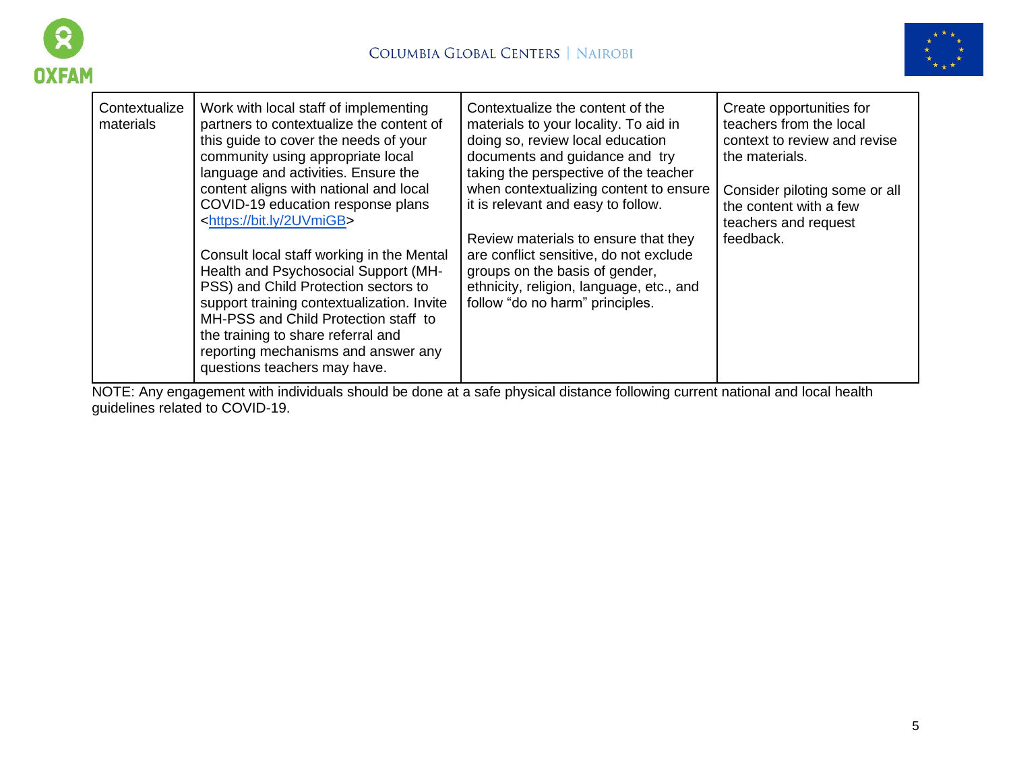



| Contextualize<br>materials | Work with local staff of implementing<br>partners to contextualize the content of<br>this guide to cover the needs of your<br>community using appropriate local<br>language and activities. Ensure the<br>content aligns with national and local<br>COVID-19 education response plans<br><https: 2uvmigb="" bit.ly=""><br/>Consult local staff working in the Mental<br/>Health and Psychosocial Support (MH-<br/>PSS) and Child Protection sectors to<br/>support training contextualization. Invite<br/>MH-PSS and Child Protection staff to<br/>the training to share referral and</https:> | Contextualize the content of the<br>materials to your locality. To aid in<br>doing so, review local education<br>documents and guidance and try<br>taking the perspective of the teacher<br>when contextualizing content to ensure<br>it is relevant and easy to follow.<br>Review materials to ensure that they<br>are conflict sensitive, do not exclude<br>groups on the basis of gender,<br>ethnicity, religion, language, etc., and<br>follow "do no harm" principles. | Create opportunities for<br>teachers from the local<br>context to review and revise<br>the materials.<br>Consider piloting some or all<br>the content with a few<br>teachers and request<br>feedback. |
|----------------------------|------------------------------------------------------------------------------------------------------------------------------------------------------------------------------------------------------------------------------------------------------------------------------------------------------------------------------------------------------------------------------------------------------------------------------------------------------------------------------------------------------------------------------------------------------------------------------------------------|-----------------------------------------------------------------------------------------------------------------------------------------------------------------------------------------------------------------------------------------------------------------------------------------------------------------------------------------------------------------------------------------------------------------------------------------------------------------------------|-------------------------------------------------------------------------------------------------------------------------------------------------------------------------------------------------------|
|                            | reporting mechanisms and answer any<br>questions teachers may have.                                                                                                                                                                                                                                                                                                                                                                                                                                                                                                                            |                                                                                                                                                                                                                                                                                                                                                                                                                                                                             |                                                                                                                                                                                                       |

NOTE: Any engagement with individuals should be done at a safe physical distance following current national and local health guidelines related to COVID-19.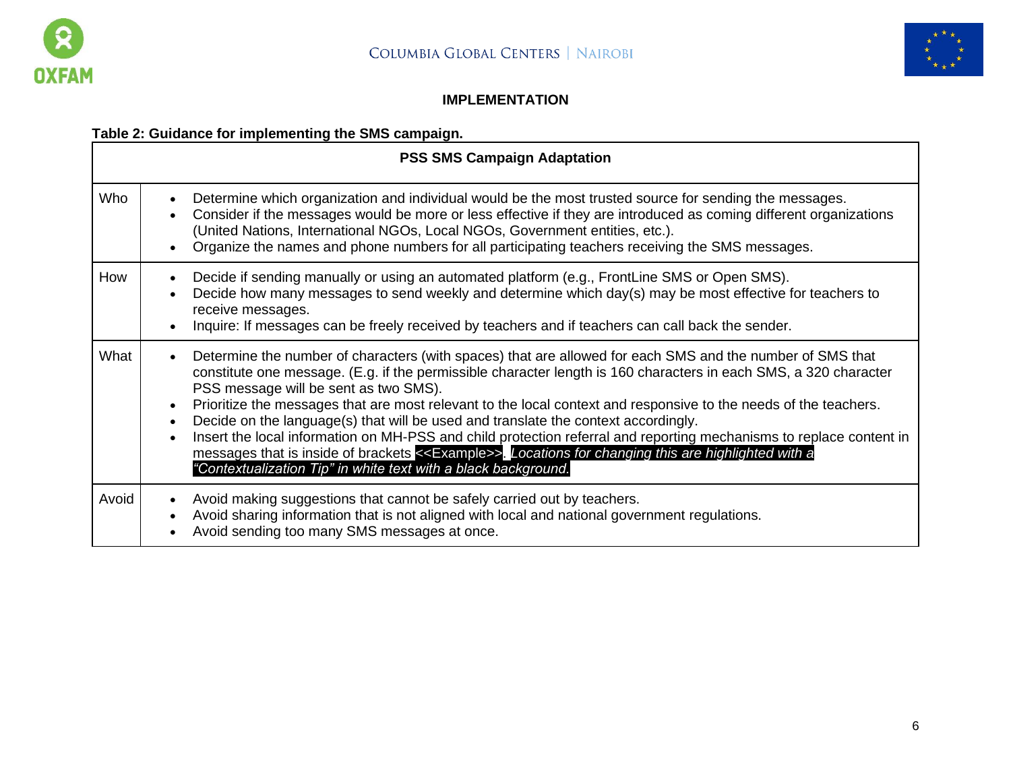



## **IMPLEMENTATION**

# **Table 2: Guidance for implementing the SMS campaign.**

|       | <b>PSS SMS Campaign Adaptation</b>                                                                                                                                                                                                                                                                                                                                                                                                                                                                                                                                                                                                                                                                                                                                                                                                                  |  |  |  |  |
|-------|-----------------------------------------------------------------------------------------------------------------------------------------------------------------------------------------------------------------------------------------------------------------------------------------------------------------------------------------------------------------------------------------------------------------------------------------------------------------------------------------------------------------------------------------------------------------------------------------------------------------------------------------------------------------------------------------------------------------------------------------------------------------------------------------------------------------------------------------------------|--|--|--|--|
| Who   | Determine which organization and individual would be the most trusted source for sending the messages.<br>$\bullet$<br>Consider if the messages would be more or less effective if they are introduced as coming different organizations<br>$\bullet$<br>(United Nations, International NGOs, Local NGOs, Government entities, etc.).<br>Organize the names and phone numbers for all participating teachers receiving the SMS messages.<br>$\bullet$                                                                                                                                                                                                                                                                                                                                                                                               |  |  |  |  |
| How   | Decide if sending manually or using an automated platform (e.g., FrontLine SMS or Open SMS).<br>$\bullet$<br>Decide how many messages to send weekly and determine which day(s) may be most effective for teachers to<br>$\bullet$<br>receive messages.<br>Inquire: If messages can be freely received by teachers and if teachers can call back the sender.<br>$\bullet$                                                                                                                                                                                                                                                                                                                                                                                                                                                                           |  |  |  |  |
| What  | Determine the number of characters (with spaces) that are allowed for each SMS and the number of SMS that<br>$\bullet$<br>constitute one message. (E.g. if the permissible character length is 160 characters in each SMS, a 320 character<br>PSS message will be sent as two SMS).<br>Prioritize the messages that are most relevant to the local context and responsive to the needs of the teachers.<br>$\bullet$<br>Decide on the language(s) that will be used and translate the context accordingly.<br>$\bullet$<br>Insert the local information on MH-PSS and child protection referral and reporting mechanisms to replace content in<br>$\bullet$<br>messages that is inside of brackets < <example>&gt;. Locations for changing this are highlighted with a<br/>"Contextualization Tip" in white text with a black background.</example> |  |  |  |  |
| Avoid | Avoid making suggestions that cannot be safely carried out by teachers.<br>$\bullet$<br>Avoid sharing information that is not aligned with local and national government regulations.<br>$\bullet$<br>Avoid sending too many SMS messages at once.<br>$\bullet$                                                                                                                                                                                                                                                                                                                                                                                                                                                                                                                                                                                     |  |  |  |  |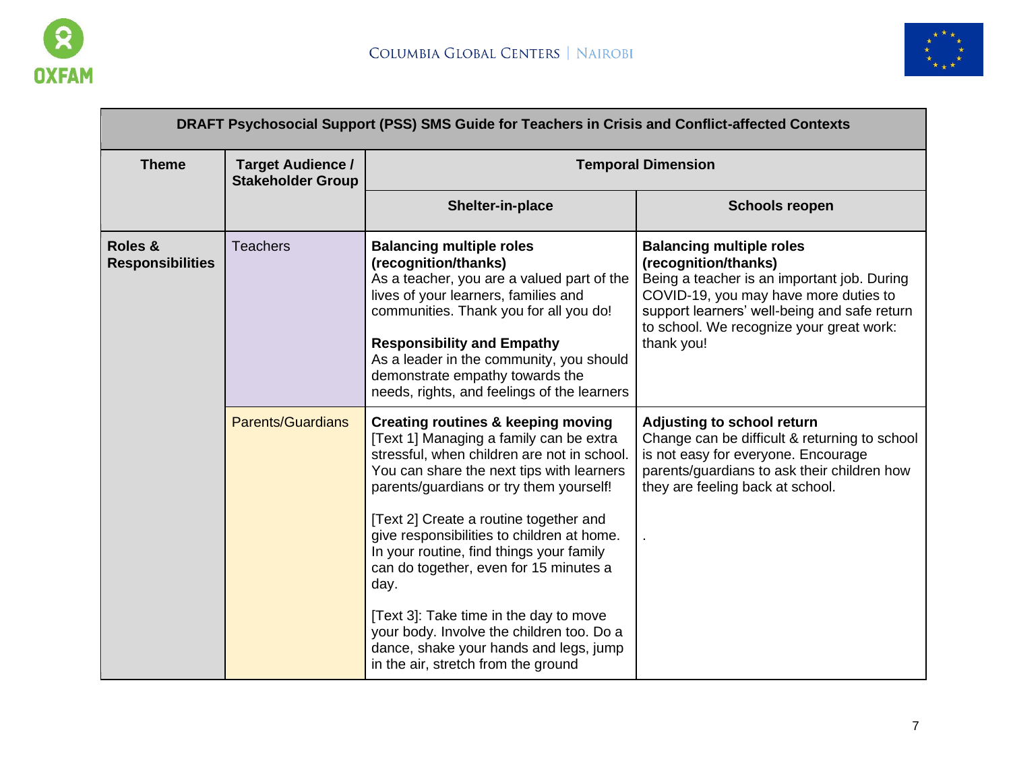



|                                    |                                                      | DRAFT Psychosocial Support (PSS) SMS Guide for Teachers in Crisis and Conflict-affected Contexts                                                                                                                                                                                                                                                                                                                                                                                                                                                                                              |                                                                                                                                                                                                                                                           |
|------------------------------------|------------------------------------------------------|-----------------------------------------------------------------------------------------------------------------------------------------------------------------------------------------------------------------------------------------------------------------------------------------------------------------------------------------------------------------------------------------------------------------------------------------------------------------------------------------------------------------------------------------------------------------------------------------------|-----------------------------------------------------------------------------------------------------------------------------------------------------------------------------------------------------------------------------------------------------------|
| <b>Theme</b>                       | <b>Target Audience /</b><br><b>Stakeholder Group</b> | <b>Temporal Dimension</b>                                                                                                                                                                                                                                                                                                                                                                                                                                                                                                                                                                     |                                                                                                                                                                                                                                                           |
|                                    |                                                      | Shelter-in-place                                                                                                                                                                                                                                                                                                                                                                                                                                                                                                                                                                              | <b>Schools reopen</b>                                                                                                                                                                                                                                     |
| Roles &<br><b>Responsibilities</b> | <b>Teachers</b>                                      | <b>Balancing multiple roles</b><br>(recognition/thanks)<br>As a teacher, you are a valued part of the<br>lives of your learners, families and<br>communities. Thank you for all you do!<br><b>Responsibility and Empathy</b><br>As a leader in the community, you should<br>demonstrate empathy towards the<br>needs, rights, and feelings of the learners                                                                                                                                                                                                                                    | <b>Balancing multiple roles</b><br>(recognition/thanks)<br>Being a teacher is an important job. During<br>COVID-19, you may have more duties to<br>support learners' well-being and safe return<br>to school. We recognize your great work:<br>thank you! |
|                                    | <b>Parents/Guardians</b>                             | <b>Creating routines &amp; keeping moving</b><br>[Text 1] Managing a family can be extra<br>stressful, when children are not in school.<br>You can share the next tips with learners<br>parents/guardians or try them yourself!<br>[Text 2] Create a routine together and<br>give responsibilities to children at home.<br>In your routine, find things your family<br>can do together, even for 15 minutes a<br>day.<br>[Text 3]: Take time in the day to move<br>your body. Involve the children too. Do a<br>dance, shake your hands and legs, jump<br>in the air, stretch from the ground | Adjusting to school return<br>Change can be difficult & returning to school<br>is not easy for everyone. Encourage<br>parents/guardians to ask their children how<br>they are feeling back at school.                                                     |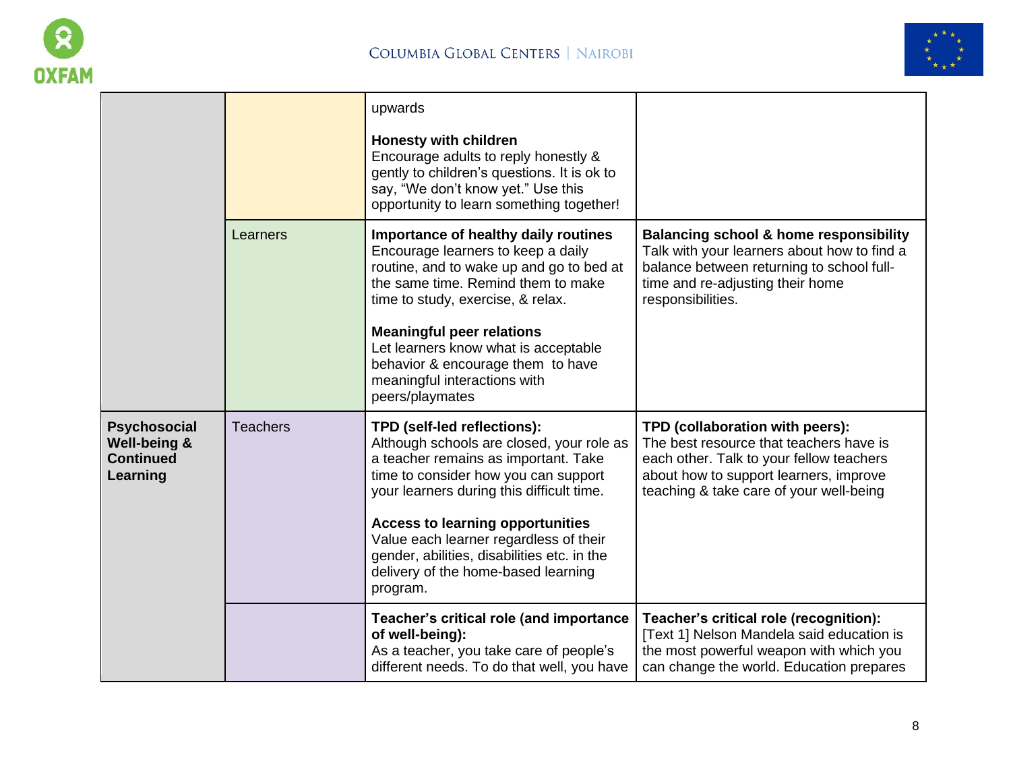



|                                                                     |                 | upwards<br><b>Honesty with children</b><br>Encourage adults to reply honestly &<br>gently to children's questions. It is ok to<br>say, "We don't know yet." Use this<br>opportunity to learn something together!                                                                                                                                                                             |                                                                                                                                                                                                             |
|---------------------------------------------------------------------|-----------------|----------------------------------------------------------------------------------------------------------------------------------------------------------------------------------------------------------------------------------------------------------------------------------------------------------------------------------------------------------------------------------------------|-------------------------------------------------------------------------------------------------------------------------------------------------------------------------------------------------------------|
|                                                                     | Learners        | Importance of healthy daily routines<br>Encourage learners to keep a daily<br>routine, and to wake up and go to bed at<br>the same time. Remind them to make<br>time to study, exercise, & relax.<br><b>Meaningful peer relations</b><br>Let learners know what is acceptable<br>behavior & encourage them to have<br>meaningful interactions with<br>peers/playmates                        | <b>Balancing school &amp; home responsibility</b><br>Talk with your learners about how to find a<br>balance between returning to school full-<br>time and re-adjusting their home<br>responsibilities.      |
| <b>Psychosocial</b><br>Well-being &<br><b>Continued</b><br>Learning | <b>Teachers</b> | TPD (self-led reflections):<br>Although schools are closed, your role as<br>a teacher remains as important. Take<br>time to consider how you can support<br>your learners during this difficult time.<br><b>Access to learning opportunities</b><br>Value each learner regardless of their<br>gender, abilities, disabilities etc. in the<br>delivery of the home-based learning<br>program. | TPD (collaboration with peers):<br>The best resource that teachers have is<br>each other. Talk to your fellow teachers<br>about how to support learners, improve<br>teaching & take care of your well-being |
|                                                                     |                 | Teacher's critical role (and importance<br>of well-being):<br>As a teacher, you take care of people's<br>different needs. To do that well, you have                                                                                                                                                                                                                                          | Teacher's critical role (recognition):<br>[Text 1] Nelson Mandela said education is<br>the most powerful weapon with which you<br>can change the world. Education prepares                                  |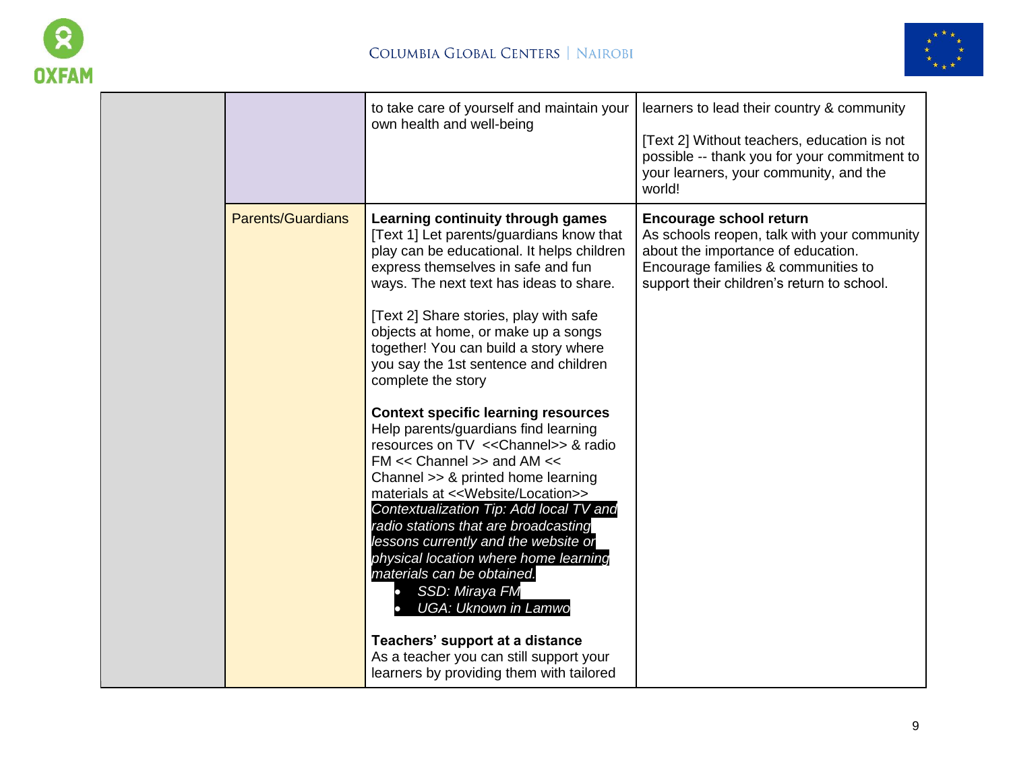



|                          | to take care of yourself and maintain your<br>own health and well-being                                                                                                                                                                                                                                                                                                                                                                                                                                                                                                                                                                                                                                                                                                                                                                                                                                                                                                              | learners to lead their country & community<br>[Text 2] Without teachers, education is not<br>possible -- thank you for your commitment to<br>your learners, your community, and the<br>world!            |
|--------------------------|--------------------------------------------------------------------------------------------------------------------------------------------------------------------------------------------------------------------------------------------------------------------------------------------------------------------------------------------------------------------------------------------------------------------------------------------------------------------------------------------------------------------------------------------------------------------------------------------------------------------------------------------------------------------------------------------------------------------------------------------------------------------------------------------------------------------------------------------------------------------------------------------------------------------------------------------------------------------------------------|----------------------------------------------------------------------------------------------------------------------------------------------------------------------------------------------------------|
| <b>Parents/Guardians</b> | Learning continuity through games<br>[Text 1] Let parents/guardians know that<br>play can be educational. It helps children<br>express themselves in safe and fun<br>ways. The next text has ideas to share.<br>[Text 2] Share stories, play with safe<br>objects at home, or make up a songs<br>together! You can build a story where<br>you say the 1st sentence and children<br>complete the story<br><b>Context specific learning resources</b><br>Help parents/guardians find learning<br>resources on TV << Channel>> & radio<br>$FM \ll$ Channel >> and AM $\ll$<br>Channel >> & printed home learning<br>materials at << Website/Location>><br>Contextualization Tip: Add local TV and<br>radio stations that are broadcasting<br>lessons currently and the website or<br>physical location where home learning<br>materials can be obtained.<br>SSD: Miraya FM<br><b>UGA: Uknown in Lamwo</b><br>Teachers' support at a distance<br>As a teacher you can still support your | <b>Encourage school return</b><br>As schools reopen, talk with your community<br>about the importance of education.<br>Encourage families & communities to<br>support their children's return to school. |
|                          | learners by providing them with tailored                                                                                                                                                                                                                                                                                                                                                                                                                                                                                                                                                                                                                                                                                                                                                                                                                                                                                                                                             |                                                                                                                                                                                                          |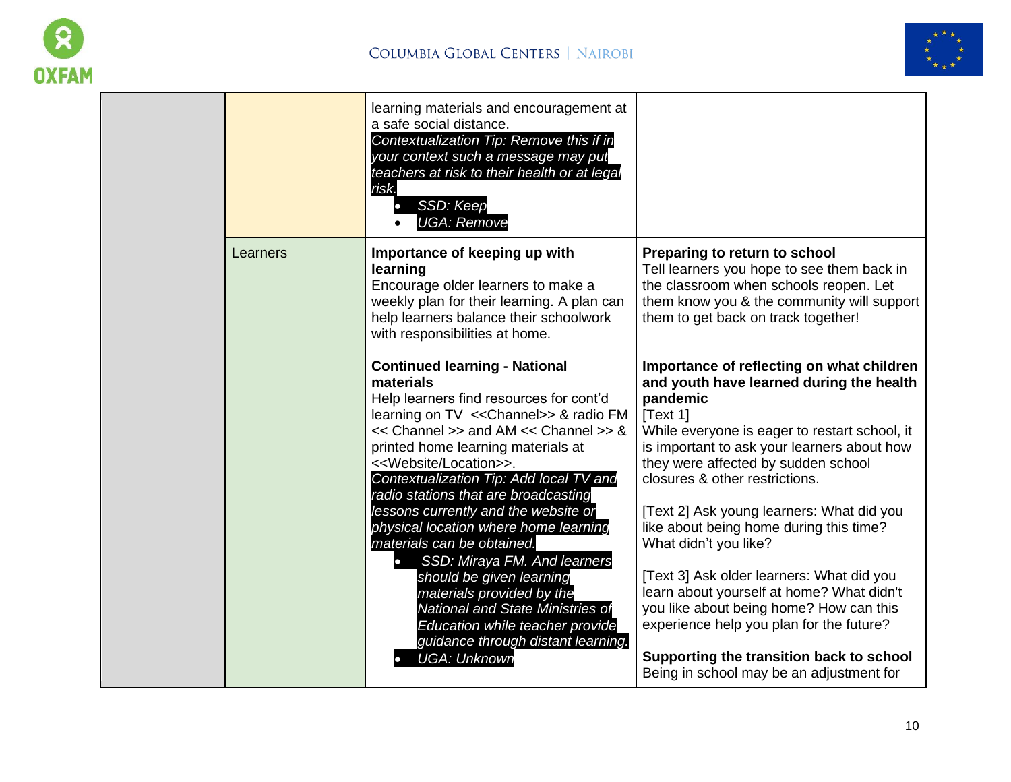



|          | learning materials and encouragement at<br>a safe social distance.<br>Contextualization Tip: Remove this if in<br>your context such a message may put<br>teachers at risk to their health or at legal<br>risk.<br>SSD: Keep<br><b>UGA: Remove</b>                                                                                                                                                                                                                                                                                                                                                                                                                                                                                  |                                                                                                                                                                                                                                                                                                                                                                                                                                                                                                                                                                                                                                                                                 |
|----------|------------------------------------------------------------------------------------------------------------------------------------------------------------------------------------------------------------------------------------------------------------------------------------------------------------------------------------------------------------------------------------------------------------------------------------------------------------------------------------------------------------------------------------------------------------------------------------------------------------------------------------------------------------------------------------------------------------------------------------|---------------------------------------------------------------------------------------------------------------------------------------------------------------------------------------------------------------------------------------------------------------------------------------------------------------------------------------------------------------------------------------------------------------------------------------------------------------------------------------------------------------------------------------------------------------------------------------------------------------------------------------------------------------------------------|
| Learners | Importance of keeping up with<br>learning<br>Encourage older learners to make a<br>weekly plan for their learning. A plan can<br>help learners balance their schoolwork<br>with responsibilities at home.                                                                                                                                                                                                                                                                                                                                                                                                                                                                                                                          | Preparing to return to school<br>Tell learners you hope to see them back in<br>the classroom when schools reopen. Let<br>them know you & the community will support<br>them to get back on track together!                                                                                                                                                                                                                                                                                                                                                                                                                                                                      |
|          | <b>Continued learning - National</b><br>materials<br>Help learners find resources for cont'd<br>learning on TV << Channel>> & radio FM<br><< Channel >> and AM << Channel >> &<br>printed home learning materials at<br>< <website location="">&gt;.<br/>Contextualization Tip: Add local TV and<br/>radio stations that are broadcasting<br/>lessons currently and the website or<br/>physical location where home learning<br/>materials can be obtained.<br/>SSD: Miraya FM. And learners<br/><math>\bullet</math><br/>should be given learning<br/>materials provided by the<br/>National and State Ministries of<br/>Education while teacher provide<br/>guidance through distant learning.<br/><b>UGA: Unknown</b></website> | Importance of reflecting on what children<br>and youth have learned during the health<br>pandemic<br>Text 11<br>While everyone is eager to restart school, it<br>is important to ask your learners about how<br>they were affected by sudden school<br>closures & other restrictions.<br>[Text 2] Ask young learners: What did you<br>like about being home during this time?<br>What didn't you like?<br>[Text 3] Ask older learners: What did you<br>learn about yourself at home? What didn't<br>you like about being home? How can this<br>experience help you plan for the future?<br>Supporting the transition back to school<br>Being in school may be an adjustment for |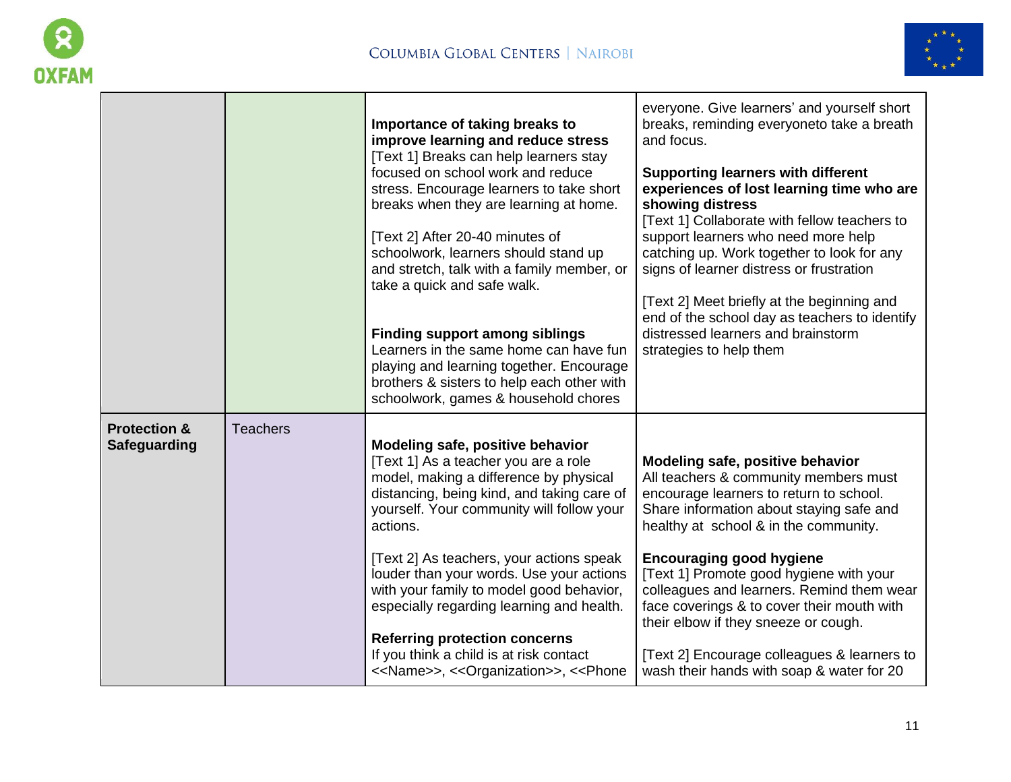

 $\blacksquare$ 



|                                                |                 | Importance of taking breaks to<br>improve learning and reduce stress<br>[Text 1] Breaks can help learners stay<br>focused on school work and reduce<br>stress. Encourage learners to take short<br>breaks when they are learning at home.<br>[Text 2] After 20-40 minutes of<br>schoolwork, learners should stand up<br>and stretch, talk with a family member, or<br>take a quick and safe walk.<br><b>Finding support among siblings</b><br>Learners in the same home can have fun<br>playing and learning together. Encourage<br>brothers & sisters to help each other with<br>schoolwork, games & household chores                                                                                                                                                                                                                                                                                                                                                                                                                                                                                                                         | everyone. Give learners' and yourself short<br>breaks, reminding everyoneto take a breath<br>and focus.<br><b>Supporting learners with different</b><br>experiences of lost learning time who are<br>showing distress<br>[Text 1] Collaborate with fellow teachers to<br>support learners who need more help<br>catching up. Work together to look for any<br>signs of learner distress or frustration<br>[Text 2] Meet briefly at the beginning and<br>end of the school day as teachers to identify<br>distressed learners and brainstorm<br>strategies to help them |
|------------------------------------------------|-----------------|------------------------------------------------------------------------------------------------------------------------------------------------------------------------------------------------------------------------------------------------------------------------------------------------------------------------------------------------------------------------------------------------------------------------------------------------------------------------------------------------------------------------------------------------------------------------------------------------------------------------------------------------------------------------------------------------------------------------------------------------------------------------------------------------------------------------------------------------------------------------------------------------------------------------------------------------------------------------------------------------------------------------------------------------------------------------------------------------------------------------------------------------|------------------------------------------------------------------------------------------------------------------------------------------------------------------------------------------------------------------------------------------------------------------------------------------------------------------------------------------------------------------------------------------------------------------------------------------------------------------------------------------------------------------------------------------------------------------------|
| <b>Protection &amp;</b><br><b>Safeguarding</b> | <b>Teachers</b> | Modeling safe, positive behavior<br>[Text 1] As a teacher you are a role<br>model, making a difference by physical<br>distancing, being kind, and taking care of<br>yourself. Your community will follow your<br>actions.<br>[Text 2] As teachers, your actions speak<br>louder than your words. Use your actions<br>with your family to model good behavior,<br>especially regarding learning and health.<br><b>Referring protection concerns</b><br>If you think a child is at risk contact<br>< <name>&gt;, &lt;&lt; Organization&gt;&gt;, &lt;<phone< th=""><th>Modeling safe, positive behavior<br/>All teachers &amp; community members must<br/>encourage learners to return to school.<br/>Share information about staying safe and<br/>healthy at school &amp; in the community.<br/><b>Encouraging good hygiene</b><br/>[Text 1] Promote good hygiene with your<br/>colleagues and learners. Remind them wear<br/>face coverings &amp; to cover their mouth with<br/>their elbow if they sneeze or cough.<br/>[Text 2] Encourage colleagues &amp; learners to<br/>wash their hands with soap &amp; water for 20</th></phone<></name> | Modeling safe, positive behavior<br>All teachers & community members must<br>encourage learners to return to school.<br>Share information about staying safe and<br>healthy at school & in the community.<br><b>Encouraging good hygiene</b><br>[Text 1] Promote good hygiene with your<br>colleagues and learners. Remind them wear<br>face coverings & to cover their mouth with<br>their elbow if they sneeze or cough.<br>[Text 2] Encourage colleagues & learners to<br>wash their hands with soap & water for 20                                                 |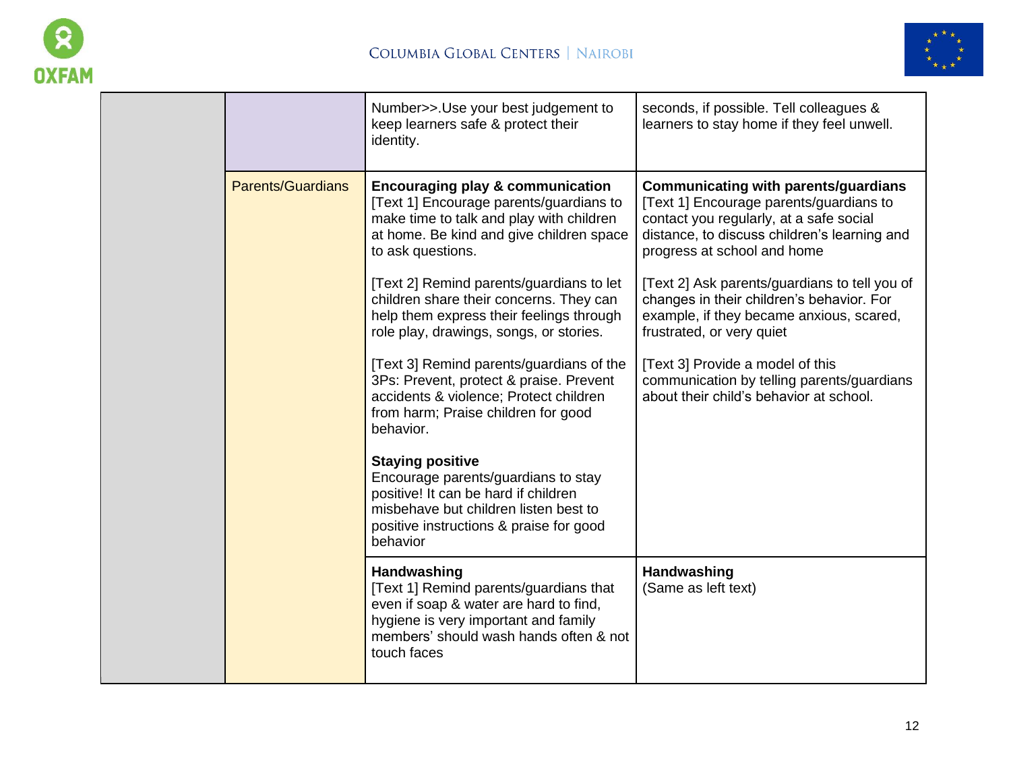



|  |                          | Number>>.Use your best judgement to<br>keep learners safe & protect their<br>identity.                                                                                                                 | seconds, if possible. Tell colleagues &<br>learners to stay home if they feel unwell.                                                                                                                            |
|--|--------------------------|--------------------------------------------------------------------------------------------------------------------------------------------------------------------------------------------------------|------------------------------------------------------------------------------------------------------------------------------------------------------------------------------------------------------------------|
|  | <b>Parents/Guardians</b> | <b>Encouraging play &amp; communication</b><br>[Text 1] Encourage parents/guardians to<br>make time to talk and play with children<br>at home. Be kind and give children space<br>to ask questions.    | <b>Communicating with parents/guardians</b><br>[Text 1] Encourage parents/guardians to<br>contact you regularly, at a safe social<br>distance, to discuss children's learning and<br>progress at school and home |
|  |                          | [Text 2] Remind parents/guardians to let<br>children share their concerns. They can<br>help them express their feelings through<br>role play, drawings, songs, or stories.                             | [Text 2] Ask parents/guardians to tell you of<br>changes in their children's behavior. For<br>example, if they became anxious, scared,<br>frustrated, or very quiet                                              |
|  |                          | [Text 3] Remind parents/guardians of the<br>3Ps: Prevent, protect & praise. Prevent<br>accidents & violence; Protect children<br>from harm; Praise children for good<br>behavior.                      | [Text 3] Provide a model of this<br>communication by telling parents/guardians<br>about their child's behavior at school.                                                                                        |
|  |                          | <b>Staying positive</b><br>Encourage parents/guardians to stay<br>positive! It can be hard if children<br>misbehave but children listen best to<br>positive instructions & praise for good<br>behavior |                                                                                                                                                                                                                  |
|  |                          | Handwashing<br>[Text 1] Remind parents/guardians that<br>even if soap & water are hard to find,<br>hygiene is very important and family<br>members' should wash hands often & not<br>touch faces       | Handwashing<br>(Same as left text)                                                                                                                                                                               |
|  |                          |                                                                                                                                                                                                        |                                                                                                                                                                                                                  |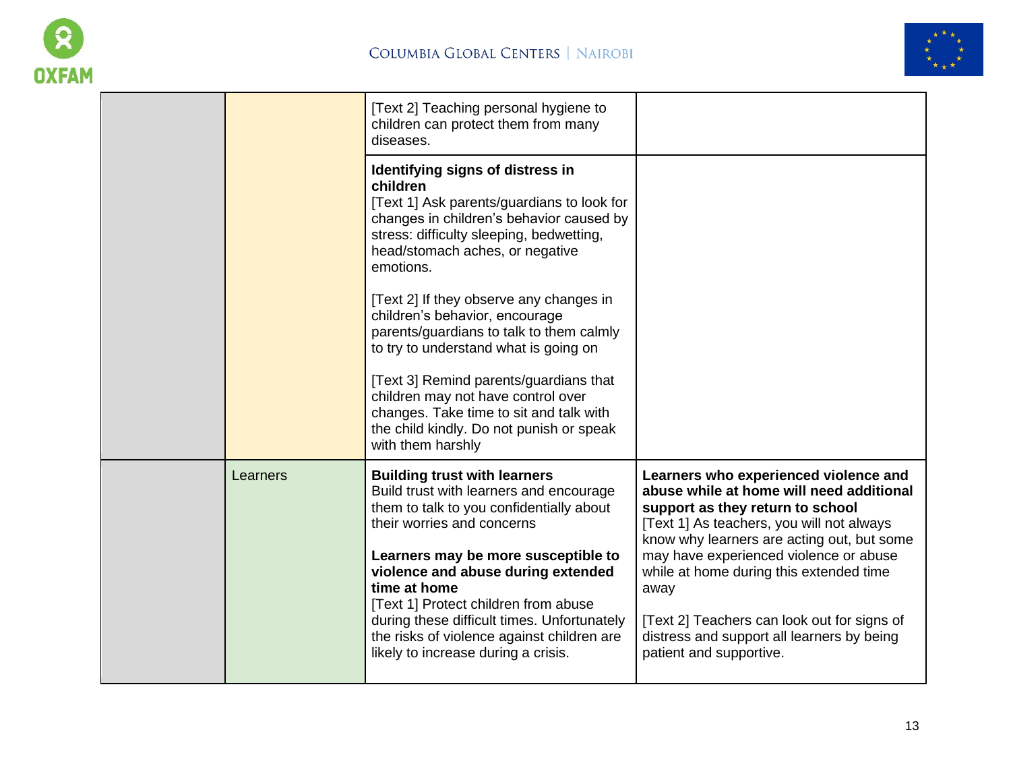



|          | [Text 2] Teaching personal hygiene to<br>children can protect them from many<br>diseases.                                                                                                                                          |                                                                                                                                                                                                                  |
|----------|------------------------------------------------------------------------------------------------------------------------------------------------------------------------------------------------------------------------------------|------------------------------------------------------------------------------------------------------------------------------------------------------------------------------------------------------------------|
|          | Identifying signs of distress in<br>children<br>[Text 1] Ask parents/guardians to look for<br>changes in children's behavior caused by<br>stress: difficulty sleeping, bedwetting,<br>head/stomach aches, or negative<br>emotions. |                                                                                                                                                                                                                  |
|          | [Text 2] If they observe any changes in<br>children's behavior, encourage<br>parents/guardians to talk to them calmly<br>to try to understand what is going on                                                                     |                                                                                                                                                                                                                  |
|          | [Text 3] Remind parents/guardians that<br>children may not have control over<br>changes. Take time to sit and talk with<br>the child kindly. Do not punish or speak<br>with them harshly                                           |                                                                                                                                                                                                                  |
| Learners | <b>Building trust with learners</b><br>Build trust with learners and encourage<br>them to talk to you confidentially about<br>their worries and concerns                                                                           | Learners who experienced violence and<br>abuse while at home will need additional<br>support as they return to school<br>[Text 1] As teachers, you will not always<br>know why learners are acting out, but some |
|          | Learners may be more susceptible to<br>violence and abuse during extended<br>time at home<br>[Text 1] Protect children from abuse                                                                                                  | may have experienced violence or abuse<br>while at home during this extended time<br>away                                                                                                                        |
|          | during these difficult times. Unfortunately<br>the risks of violence against children are<br>likely to increase during a crisis.                                                                                                   | [Text 2] Teachers can look out for signs of<br>distress and support all learners by being<br>patient and supportive.                                                                                             |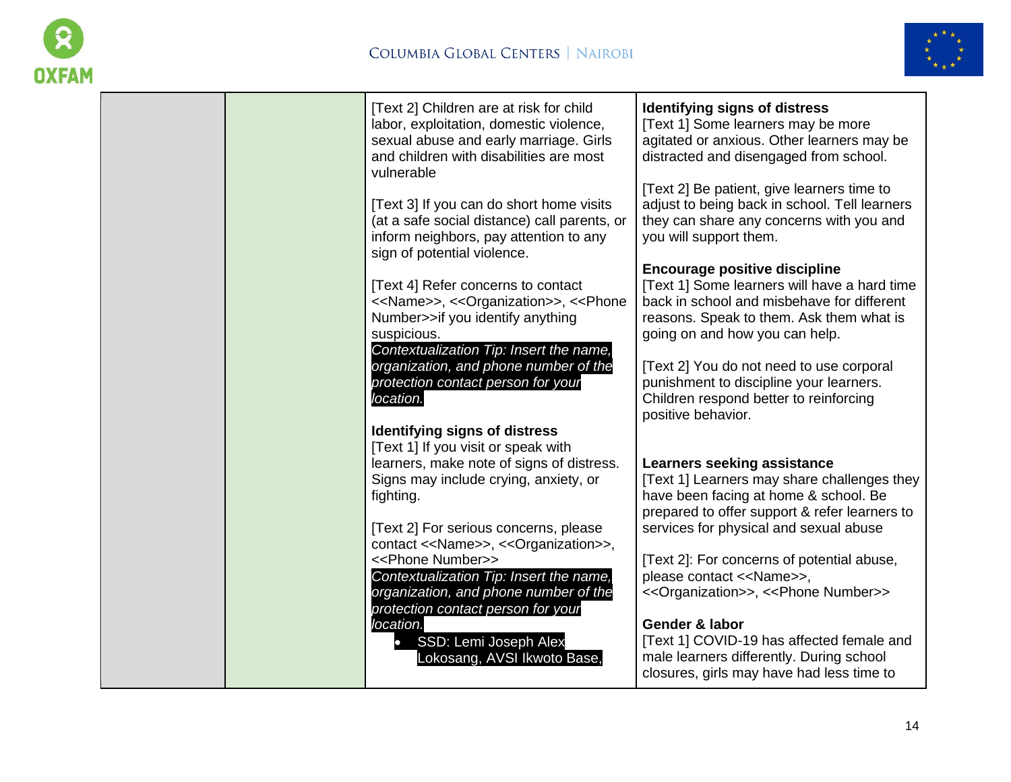



| [Text 2] Children are at risk for child<br>labor, exploitation, domestic violence,<br>sexual abuse and early marriage. Girls<br>and children with disabilities are most<br>vulnerable                                         | Identifying signs of distress<br>[Text 1] Some learners may be more<br>agitated or anxious. Other learners may be<br>distracted and disengaged from school.                                                      |
|-------------------------------------------------------------------------------------------------------------------------------------------------------------------------------------------------------------------------------|------------------------------------------------------------------------------------------------------------------------------------------------------------------------------------------------------------------|
| [Text 3] If you can do short home visits<br>(at a safe social distance) call parents, or<br>inform neighbors, pay attention to any<br>sign of potential violence.                                                             | [Text 2] Be patient, give learners time to<br>adjust to being back in school. Tell learners<br>they can share any concerns with you and<br>you will support them.                                                |
| [Text 4] Refer concerns to contact<br>< <name>&gt;, &lt;<organization>&gt;, &lt;<phone<br>Number&gt;&gt;if you identify anything<br/>suspicious.<br/>Contextualization Tip: Insert the name,</phone<br></organization></name> | <b>Encourage positive discipline</b><br>[Text 1] Some learners will have a hard time<br>back in school and misbehave for different<br>reasons. Speak to them. Ask them what is<br>going on and how you can help. |
| organization, and phone number of the<br>protection contact person for your<br>location.                                                                                                                                      | [Text 2] You do not need to use corporal<br>punishment to discipline your learners.<br>Children respond better to reinforcing<br>positive behavior.                                                              |
| <b>Identifying signs of distress</b><br>[Text 1] If you visit or speak with<br>learners, make note of signs of distress.                                                                                                      | Learners seeking assistance                                                                                                                                                                                      |
| Signs may include crying, anxiety, or<br>fighting.                                                                                                                                                                            | [Text 1] Learners may share challenges they<br>have been facing at home & school. Be<br>prepared to offer support & refer learners to                                                                            |
| [Text 2] For serious concerns, please<br>contact << Name>>, << Organization>>,                                                                                                                                                | services for physical and sexual abuse                                                                                                                                                                           |
| < <phone number="">&gt;<br/>Contextualization Tip: Insert the name,<br/>organization, and phone number of the<br/>protection contact person for your</phone>                                                                  | [Text 2]: For concerns of potential abuse,<br>please contact << Name>>,<br><< Organization>>, << Phone Number>>                                                                                                  |
| location.<br>SSD: Lemi Joseph Alex<br>Lokosang, AVSI Ikwoto Base,                                                                                                                                                             | Gender & labor<br>[Text 1] COVID-19 has affected female and<br>male learners differently. During school<br>closures, girls may have had less time to                                                             |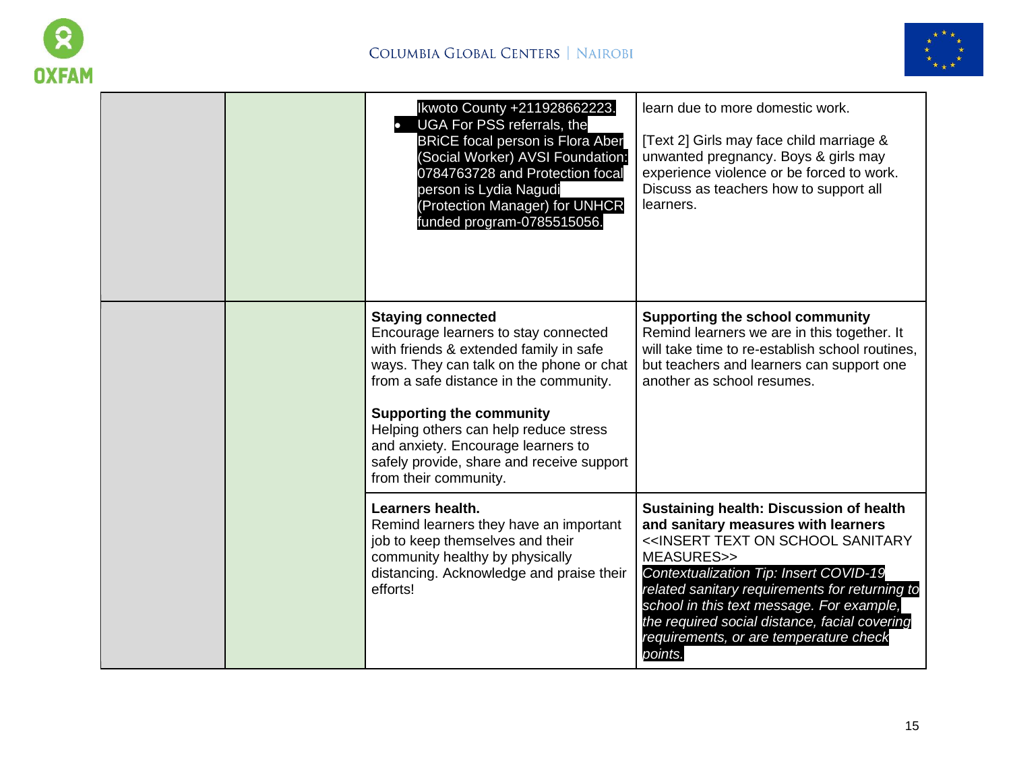



|  | Ikwoto County +211928662223.<br>UGA For PSS referrals, the<br><b>BRICE focal person is Flora Aber</b><br>(Social Worker) AVSI Foundation:<br>0784763728 and Protection focal<br>person is Lydia Nagudi<br>(Protection Manager) for UNHCR<br>funded program-0785515056.                                                                                                                   | learn due to more domestic work.<br>[Text 2] Girls may face child marriage &<br>unwanted pregnancy. Boys & girls may<br>experience violence or be forced to work.<br>Discuss as teachers how to support all<br>learners.                                                                                                                                                                                                 |
|--|------------------------------------------------------------------------------------------------------------------------------------------------------------------------------------------------------------------------------------------------------------------------------------------------------------------------------------------------------------------------------------------|--------------------------------------------------------------------------------------------------------------------------------------------------------------------------------------------------------------------------------------------------------------------------------------------------------------------------------------------------------------------------------------------------------------------------|
|  | <b>Staying connected</b><br>Encourage learners to stay connected<br>with friends & extended family in safe<br>ways. They can talk on the phone or chat<br>from a safe distance in the community.<br><b>Supporting the community</b><br>Helping others can help reduce stress<br>and anxiety. Encourage learners to<br>safely provide, share and receive support<br>from their community. | <b>Supporting the school community</b><br>Remind learners we are in this together. It<br>will take time to re-establish school routines,<br>but teachers and learners can support one<br>another as school resumes.                                                                                                                                                                                                      |
|  | Learners health.<br>Remind learners they have an important<br>job to keep themselves and their<br>community healthy by physically<br>distancing. Acknowledge and praise their<br>efforts!                                                                                                                                                                                                | <b>Sustaining health: Discussion of health</b><br>and sanitary measures with learners<br>< <insert on="" sanitary<br="" school="" text="">MEASURES&gt;&gt;<br/>Contextualization Tip: Insert COVID-19<br/>related sanitary requirements for returning to<br/>school in this text message. For example,<br/>the required social distance, facial covering<br/>requirements, or are temperature check<br/>points.</insert> |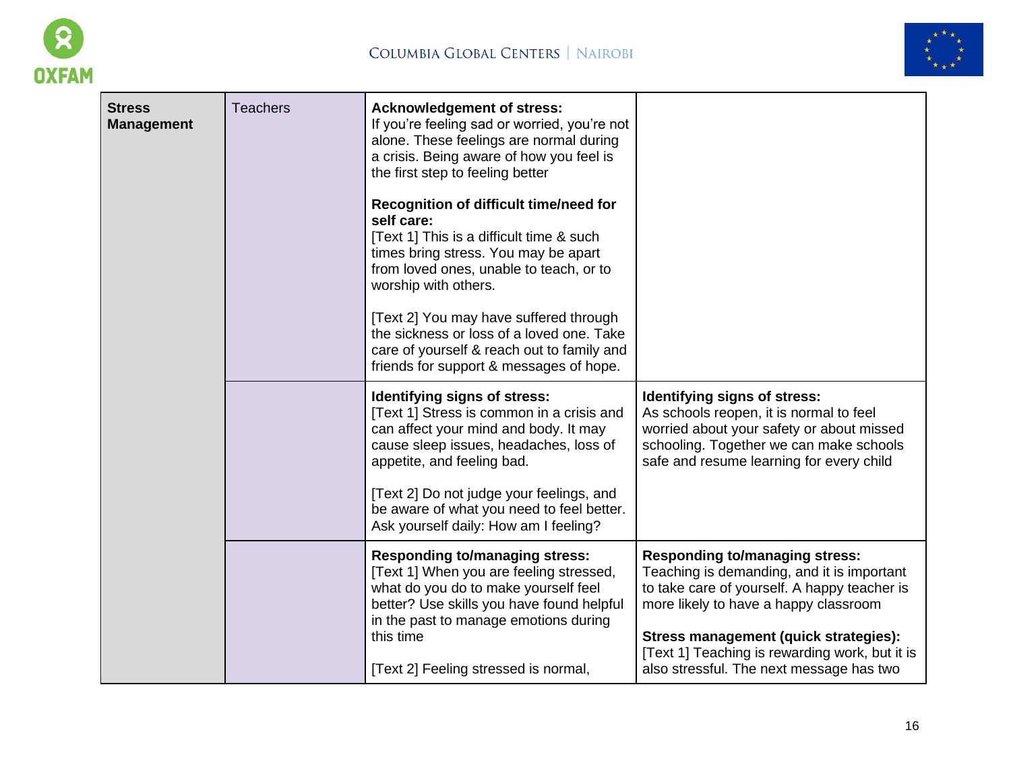



| <b>Stress</b><br><b>Management</b> | <b>Teachers</b> | <b>Acknowledgement of stress:</b><br>If you're feeling sad or worried, you're not<br>alone. These feelings are normal during<br>a crisis. Being aware of how you feel is<br>the first step to feeling better   |                                                                                                                                                                                                             |
|------------------------------------|-----------------|----------------------------------------------------------------------------------------------------------------------------------------------------------------------------------------------------------------|-------------------------------------------------------------------------------------------------------------------------------------------------------------------------------------------------------------|
|                                    |                 | Recognition of difficult time/need for<br>self care:<br>[Text 1] This is a difficult time & such<br>times bring stress. You may be apart<br>from loved ones, unable to teach, or to<br>worship with others.    |                                                                                                                                                                                                             |
|                                    |                 | [Text 2] You may have suffered through<br>the sickness or loss of a loved one. Take<br>care of yourself & reach out to family and<br>friends for support & messages of hope.                                   |                                                                                                                                                                                                             |
|                                    |                 | Identifying signs of stress:<br>[Text 1] Stress is common in a crisis and<br>can affect your mind and body. It may<br>cause sleep issues, headaches, loss of<br>appetite, and feeling bad.                     | Identifying signs of stress:<br>As schools reopen, it is normal to feel<br>worried about your safety or about missed<br>schooling. Together we can make schools<br>safe and resume learning for every child |
|                                    |                 | [Text 2] Do not judge your feelings, and<br>be aware of what you need to feel better.<br>Ask yourself daily: How am I feeling?                                                                                 |                                                                                                                                                                                                             |
|                                    |                 | <b>Responding to/managing stress:</b><br>[Text 1] When you are feeling stressed,<br>what do you do to make yourself feel<br>better? Use skills you have found helpful<br>in the past to manage emotions during | <b>Responding to/managing stress:</b><br>Teaching is demanding, and it is important<br>to take care of yourself. A happy teacher is<br>more likely to have a happy classroom                                |
|                                    |                 | this time<br>[Text 2] Feeling stressed is normal,                                                                                                                                                              | Stress management (quick strategies):<br>[Text 1] Teaching is rewarding work, but it is<br>also stressful. The next message has two                                                                         |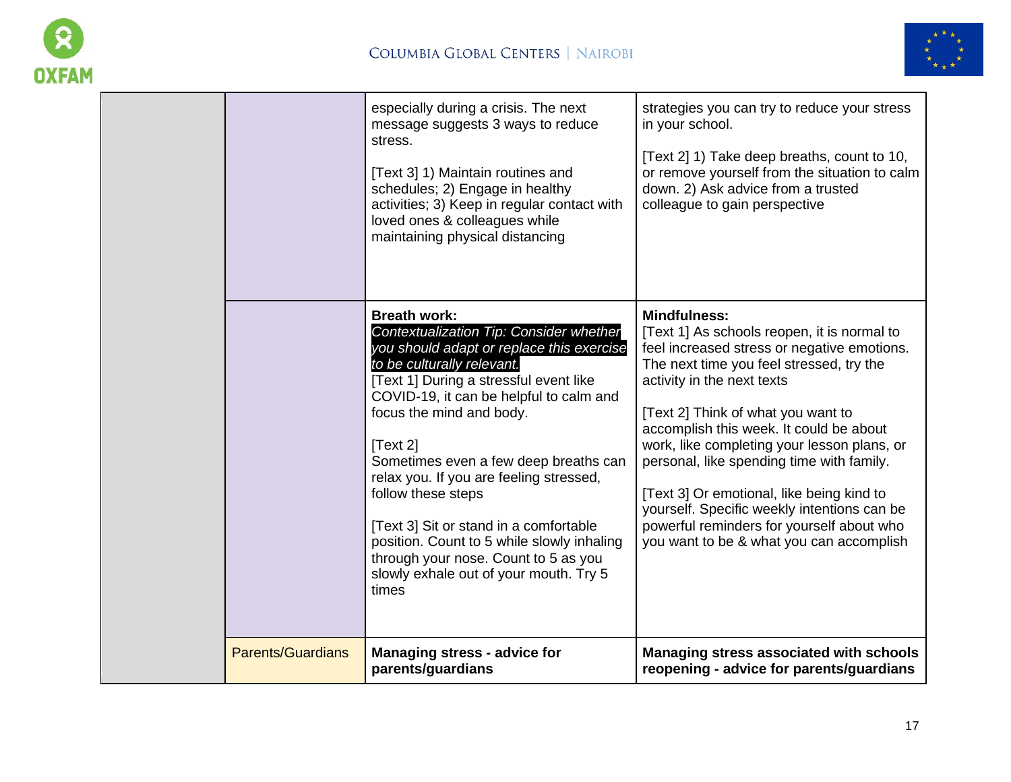



| <b>Parents/Guardians</b> | <b>Managing stress - advice for</b><br>parents/guardians                                                                                                                                                                                                                                                                                                                                                                                                                                                                                                            | Managing stress associated with schools<br>reopening - advice for parents/guardians                                                                                                                                                                                                                                                                                                                                                                                                                                                                           |
|--------------------------|---------------------------------------------------------------------------------------------------------------------------------------------------------------------------------------------------------------------------------------------------------------------------------------------------------------------------------------------------------------------------------------------------------------------------------------------------------------------------------------------------------------------------------------------------------------------|---------------------------------------------------------------------------------------------------------------------------------------------------------------------------------------------------------------------------------------------------------------------------------------------------------------------------------------------------------------------------------------------------------------------------------------------------------------------------------------------------------------------------------------------------------------|
|                          | <b>Breath work:</b><br>Contextualization Tip: Consider whether<br>you should adapt or replace this exercise<br>to be culturally relevant.<br>[Text 1] During a stressful event like<br>COVID-19, it can be helpful to calm and<br>focus the mind and body.<br>[Text 2]<br>Sometimes even a few deep breaths can<br>relax you. If you are feeling stressed,<br>follow these steps<br>[Text 3] Sit or stand in a comfortable<br>position. Count to 5 while slowly inhaling<br>through your nose. Count to 5 as you<br>slowly exhale out of your mouth. Try 5<br>times | <b>Mindfulness:</b><br>[Text 1] As schools reopen, it is normal to<br>feel increased stress or negative emotions.<br>The next time you feel stressed, try the<br>activity in the next texts<br>[Text 2] Think of what you want to<br>accomplish this week. It could be about<br>work, like completing your lesson plans, or<br>personal, like spending time with family.<br>[Text 3] Or emotional, like being kind to<br>yourself. Specific weekly intentions can be<br>powerful reminders for yourself about who<br>you want to be & what you can accomplish |
|                          | especially during a crisis. The next<br>message suggests 3 ways to reduce<br>stress.<br>[Text 3] 1) Maintain routines and<br>schedules; 2) Engage in healthy<br>activities; 3) Keep in regular contact with<br>loved ones & colleagues while<br>maintaining physical distancing                                                                                                                                                                                                                                                                                     | strategies you can try to reduce your stress<br>in your school.<br>[Text 2] 1) Take deep breaths, count to 10,<br>or remove yourself from the situation to calm<br>down. 2) Ask advice from a trusted<br>colleague to gain perspective                                                                                                                                                                                                                                                                                                                        |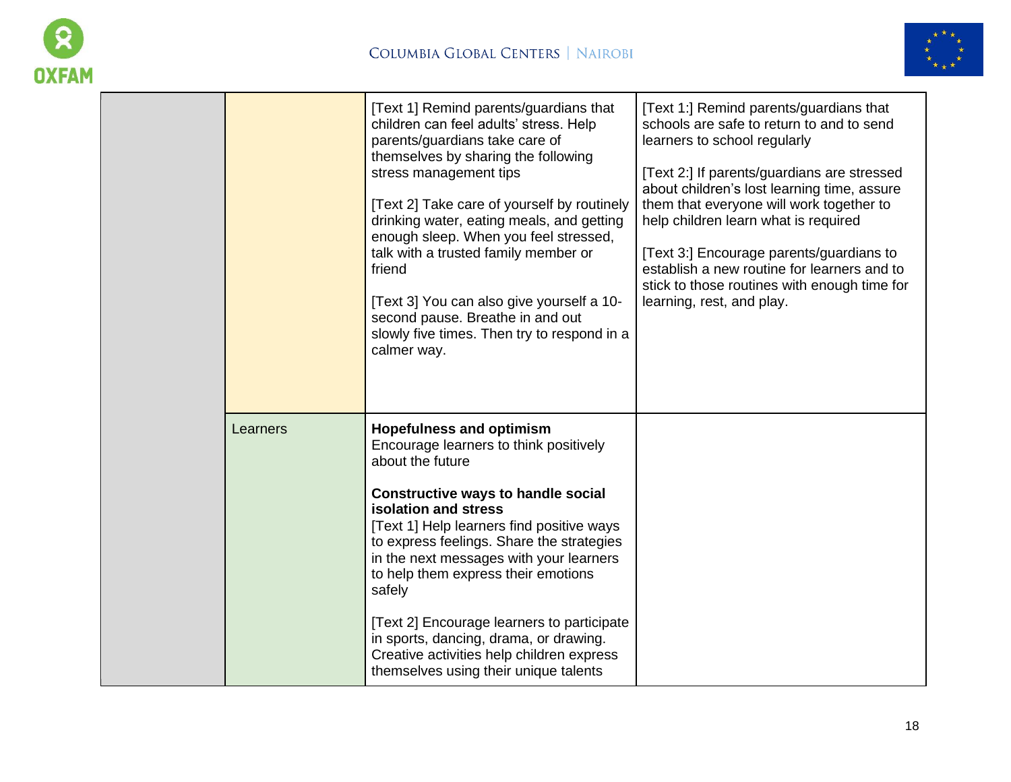



|          | [Text 1] Remind parents/guardians that<br>children can feel adults' stress. Help<br>parents/guardians take care of<br>themselves by sharing the following<br>stress management tips<br>[Text 2] Take care of yourself by routinely<br>drinking water, eating meals, and getting<br>enough sleep. When you feel stressed,<br>talk with a trusted family member or<br>friend<br>[Text 3] You can also give yourself a 10-<br>second pause. Breathe in and out<br>slowly five times. Then try to respond in a<br>calmer way.              | [Text 1:] Remind parents/guardians that<br>schools are safe to return to and to send<br>learners to school regularly<br>[Text 2:] If parents/guardians are stressed<br>about children's lost learning time, assure<br>them that everyone will work together to<br>help children learn what is required<br>[Text 3:] Encourage parents/guardians to<br>establish a new routine for learners and to<br>stick to those routines with enough time for<br>learning, rest, and play. |
|----------|----------------------------------------------------------------------------------------------------------------------------------------------------------------------------------------------------------------------------------------------------------------------------------------------------------------------------------------------------------------------------------------------------------------------------------------------------------------------------------------------------------------------------------------|--------------------------------------------------------------------------------------------------------------------------------------------------------------------------------------------------------------------------------------------------------------------------------------------------------------------------------------------------------------------------------------------------------------------------------------------------------------------------------|
| Learners | <b>Hopefulness and optimism</b><br>Encourage learners to think positively<br>about the future<br><b>Constructive ways to handle social</b><br>isolation and stress<br>[Text 1] Help learners find positive ways<br>to express feelings. Share the strategies<br>in the next messages with your learners<br>to help them express their emotions<br>safely<br>[Text 2] Encourage learners to participate<br>in sports, dancing, drama, or drawing.<br>Creative activities help children express<br>themselves using their unique talents |                                                                                                                                                                                                                                                                                                                                                                                                                                                                                |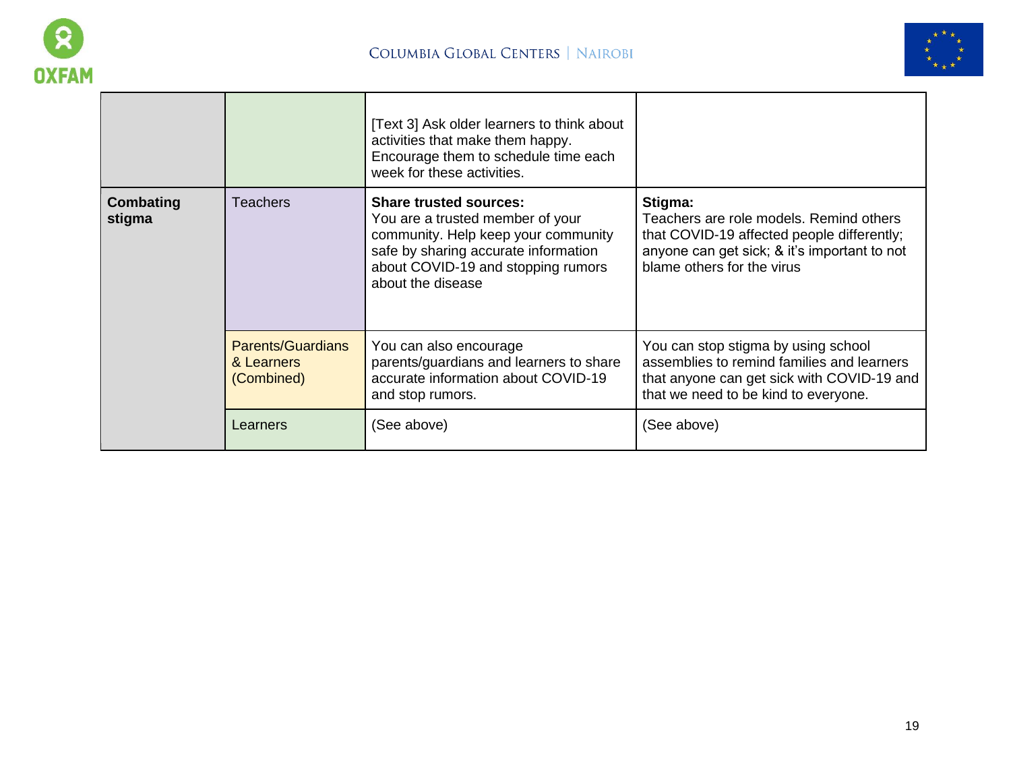



|                     |                                                      | [Text 3] Ask older learners to think about<br>activities that make them happy.<br>Encourage them to schedule time each<br>week for these activities.                                                        |                                                                                                                                                                                |
|---------------------|------------------------------------------------------|-------------------------------------------------------------------------------------------------------------------------------------------------------------------------------------------------------------|--------------------------------------------------------------------------------------------------------------------------------------------------------------------------------|
| Combating<br>stigma | Teachers                                             | <b>Share trusted sources:</b><br>You are a trusted member of your<br>community. Help keep your community<br>safe by sharing accurate information<br>about COVID-19 and stopping rumors<br>about the disease | Stigma:<br>Teachers are role models. Remind others<br>that COVID-19 affected people differently;<br>anyone can get sick; & it's important to not<br>blame others for the virus |
|                     | <b>Parents/Guardians</b><br>& Learners<br>(Combined) | You can also encourage<br>parents/guardians and learners to share<br>accurate information about COVID-19<br>and stop rumors.                                                                                | You can stop stigma by using school<br>assemblies to remind families and learners<br>that anyone can get sick with COVID-19 and<br>that we need to be kind to everyone.        |
|                     | Learners                                             | (See above)                                                                                                                                                                                                 | (See above)                                                                                                                                                                    |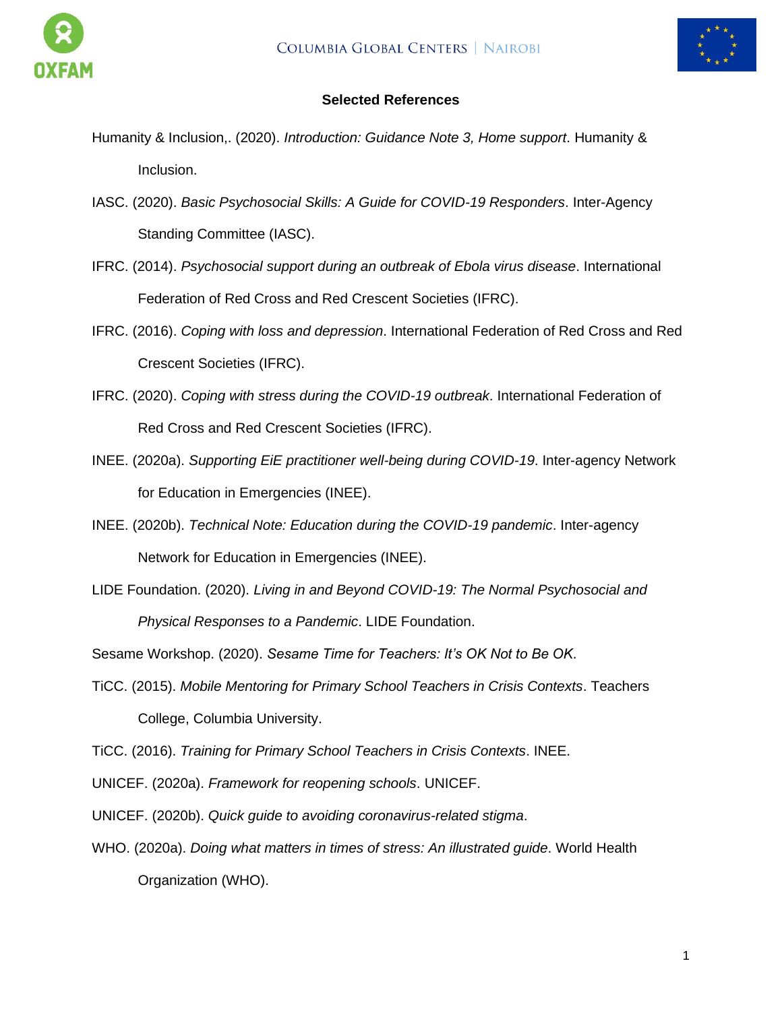





### **Selected References**

- [Humanity & Inclusion,. \(2020\).](https://www.zotero.org/google-docs/?lv1oRA) *[Introduction: Guidance Note 3, Home support](https://www.zotero.org/google-docs/?lv1oRA)*[. Humanity &](https://www.zotero.org/google-docs/?lv1oRA)  [Inclusion.](https://www.zotero.org/google-docs/?lv1oRA)
- IASC. [\(2020\).](https://www.zotero.org/google-docs/?lv1oRA) *[Basic Psychosocial](https://www.zotero.org/google-docs/?lv1oRA) [Skills: A Guide for COVID-19 Responders](https://www.zotero.org/google-docs/?lv1oRA)*[. Inter-Agency](https://www.zotero.org/google-docs/?lv1oRA)  [Standing Committee \(IASC\).](https://www.zotero.org/google-docs/?lv1oRA)
- [IFRC. \(2014\).](https://www.zotero.org/google-docs/?lv1oRA) *[Psychosocial support during an outbreak of Ebola virus disease](https://www.zotero.org/google-docs/?lv1oRA)*[. International](https://www.zotero.org/google-docs/?lv1oRA)  [Federation of Red Cross and Red Crescent Societies \(IFRC\).](https://www.zotero.org/google-docs/?lv1oRA)
- [IFRC. \(2016\).](https://www.zotero.org/google-docs/?lv1oRA) *[Coping with loss and depression](https://www.zotero.org/google-docs/?lv1oRA)*[. International Federation of Red Cross and Red](https://www.zotero.org/google-docs/?lv1oRA)  [Crescent Societies \(IFRC\).](https://www.zotero.org/google-docs/?lv1oRA)
- [IFRC. \(2020\).](https://www.zotero.org/google-docs/?lv1oRA) *[Coping with stress during the COVID-19 outbreak](https://www.zotero.org/google-docs/?lv1oRA)*[. International Federation of](https://www.zotero.org/google-docs/?lv1oRA)  [Red Cross and Red Crescent Societies \(IFRC\).](https://www.zotero.org/google-docs/?lv1oRA)
- [INEE. \(2020a\).](https://www.zotero.org/google-docs/?lv1oRA) *[Supporting EiE practitioner well-being during COVID-19](https://www.zotero.org/google-docs/?lv1oRA)*[. Inter-agency Network](https://www.zotero.org/google-docs/?lv1oRA)  [for Education in Emergencies \(INEE\).](https://www.zotero.org/google-docs/?lv1oRA)
- [INEE. \(2020b\).](https://www.zotero.org/google-docs/?lv1oRA) *[Technical Note: Education during the COVID-19 pandemic](https://www.zotero.org/google-docs/?lv1oRA)*[. Inter-agency](https://www.zotero.org/google-docs/?lv1oRA)  [Network for Education in Emergencies \(INEE\).](https://www.zotero.org/google-docs/?lv1oRA)
- [LIDE Foundation. \(2020\).](https://www.zotero.org/google-docs/?lv1oRA) *[Living in and Beyond COVID-19: The Normal Psychosocial and](https://www.zotero.org/google-docs/?lv1oRA)  [Physical Responses to a Pandemic](https://www.zotero.org/google-docs/?lv1oRA)*[. LIDE Foundation.](https://www.zotero.org/google-docs/?lv1oRA)

[Sesame Workshop. \(2020\).](https://www.zotero.org/google-docs/?lv1oRA) *[Sesame Time for Teachers: It's OK Not to Be OK](https://www.zotero.org/google-docs/?lv1oRA)*[.](https://www.zotero.org/google-docs/?lv1oRA)

[TiCC. \(2015\).](https://www.zotero.org/google-docs/?lv1oRA) *[Mobile Mentoring for Primary School Teachers in Crisis Contexts](https://www.zotero.org/google-docs/?lv1oRA)*[. Teachers](https://www.zotero.org/google-docs/?lv1oRA)  [College, Columbia University.](https://www.zotero.org/google-docs/?lv1oRA)

[TiCC. \(2016\).](https://www.zotero.org/google-docs/?lv1oRA) *[Training for Primary School Teachers in Crisis Contexts](https://www.zotero.org/google-docs/?lv1oRA)*[. INEE.](https://www.zotero.org/google-docs/?lv1oRA)

[UNICEF. \(2020a\).](https://www.zotero.org/google-docs/?lv1oRA) *[Framework for reopening schools](https://www.zotero.org/google-docs/?lv1oRA)*[. UNICEF.](https://www.zotero.org/google-docs/?lv1oRA)

[UNICEF. \(2020b\).](https://www.zotero.org/google-docs/?lv1oRA) *[Quick guide to avoiding coronavirus-related stigma](https://www.zotero.org/google-docs/?lv1oRA)*[.](https://www.zotero.org/google-docs/?lv1oRA)

[WHO. \(2020a\).](https://www.zotero.org/google-docs/?lv1oRA) *[Doing what matters in times of stress: An illustrated guide](https://www.zotero.org/google-docs/?lv1oRA)*[. World Health](https://www.zotero.org/google-docs/?lv1oRA)  [Organization \(WHO\).](https://www.zotero.org/google-docs/?lv1oRA)